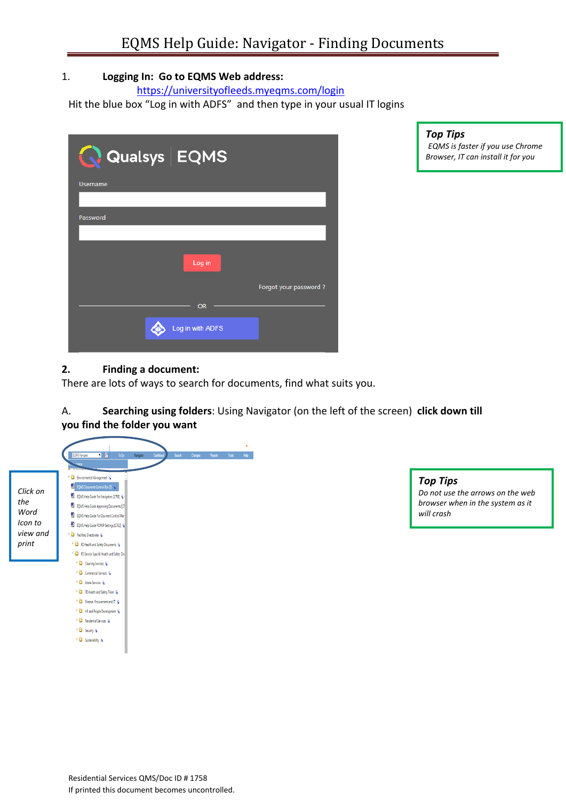# 1. **Logging In: Go to EQMS Web address:**

<https://universityofleeds.myeqms.com/login>

Hit the blue box "Log in with ADFS" and then type in your usual IT logins

| Qualsys EQMS     |                       |
|------------------|-----------------------|
| <b>Username</b>  |                       |
|                  |                       |
| Password         |                       |
|                  |                       |
| Log in           |                       |
|                  | Forgot your password? |
| <b>OR</b>        |                       |
| Log in with ADFS |                       |
|                  |                       |

*Top Tips 1. EQMS is faster if you use Chrome Browser, IT can install it for you* 

## **2. Finding a document:**

There are lots of ways to search for documents, find what suits you.

# A. **Searching using folders**: Using Navigator (on the left of the screen) **click down till you find the folder you want**



*Top Tips Do not use the arrows on the web browser when in the system as it will crash*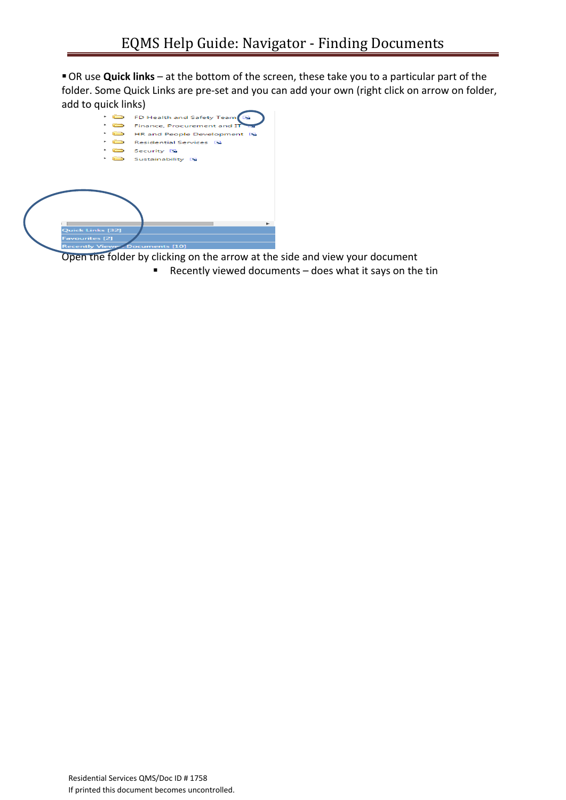OR use **Quick links** – at the bottom of the screen, these take you to a particular part of the folder. Some Quick Links are pre-set and you can add your own (right click on arrow on folder, add to quick links)

|                       | r and the second state of the second second state in the second second second second second second second second second second second second second second second second second second second second second second second seco | FD Health and Safety Team            |
|-----------------------|--------------------------------------------------------------------------------------------------------------------------------------------------------------------------------------------------------------------------------|--------------------------------------|
|                       | <b>Com</b>                                                                                                                                                                                                                     | Finance, Procurement and IT          |
| ٠                     |                                                                                                                                                                                                                                | <b>ED</b> HR and People Development  |
|                       |                                                                                                                                                                                                                                | Residential Services                 |
|                       |                                                                                                                                                                                                                                | Security IS                          |
|                       | ra an                                                                                                                                                                                                                          | Sustainability <b>N</b>              |
|                       |                                                                                                                                                                                                                                |                                      |
|                       |                                                                                                                                                                                                                                |                                      |
|                       |                                                                                                                                                                                                                                |                                      |
|                       |                                                                                                                                                                                                                                |                                      |
|                       |                                                                                                                                                                                                                                |                                      |
|                       |                                                                                                                                                                                                                                |                                      |
|                       |                                                                                                                                                                                                                                |                                      |
|                       |                                                                                                                                                                                                                                |                                      |
| Quick Links [32]      |                                                                                                                                                                                                                                |                                      |
| <b>Favourites</b> [2] |                                                                                                                                                                                                                                |                                      |
|                       |                                                                                                                                                                                                                                | <b>Recently Viewe Documents [10]</b> |

Open the folder by clicking on the arrow at the side and view your document

Recently viewed documents – does what it says on the tin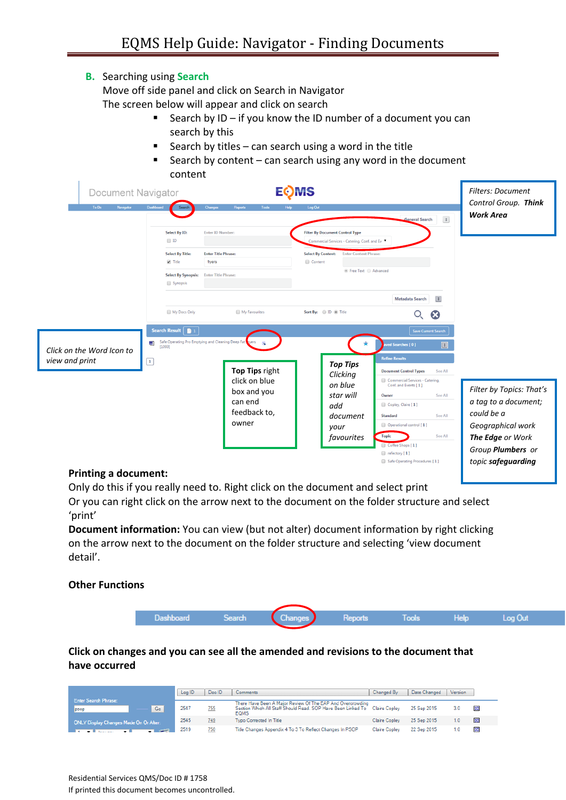## **B.** Searching using **Search**

Move off side panel and click on Search in Navigator

The screen below will appear and click on search

- Search by ID if you know the ID number of a document you can search by this
- Search by titles can search using a word in the title
- Search by content can search using any word in the document content

| Document Navigator                          | <b>EOMS</b>                                                                                                                                                                                                                                                                                                 | <b>Filters: Document</b><br>Control Group. Think                                                                                                                                                                                                                                                                                                                   |                                                                                                                                                                                                                                                                                                                |
|---------------------------------------------|-------------------------------------------------------------------------------------------------------------------------------------------------------------------------------------------------------------------------------------------------------------------------------------------------------------|--------------------------------------------------------------------------------------------------------------------------------------------------------------------------------------------------------------------------------------------------------------------------------------------------------------------------------------------------------------------|----------------------------------------------------------------------------------------------------------------------------------------------------------------------------------------------------------------------------------------------------------------------------------------------------------------|
| Navigator<br>To Do                          | Dashboard<br>Tools<br><b>Changes</b><br>Reports<br>Search<br>Select By ID:<br><b>Enter ID Number:</b><br>$\Box$ ID<br><b>Enter Title Phrase:</b><br><b>Select By Title:</b><br>$\blacktriangledown$ Title<br>fryers<br><b>Enter Title Phrase:</b><br><b>Select By Synopsis:</b><br>Synopsis                 | Help<br>Log Out<br><b>Filter By Document Control Type</b><br>Commercial Services - Catering, Conf. and Ev ▼<br><b>Enter Content Phrase:</b><br><b>Select By Content:</b><br>Content<br>● Free Text ● Advanced                                                                                                                                                      | <b>Work Area</b><br>$\left\lceil \frac{1}{k} \right\rceil$<br><b>General Search</b>                                                                                                                                                                                                                            |
| Click on the Word Icon to<br>view and print | My Docs Only<br>My Favourites<br>Search Result $\left[\begin{array}{ccc} 1 & 1 \end{array}\right]$<br>Safe Operating Pro Emptying and Cleaning Deep Fat vers<br>國<br>$\overline{\mathbf{N}}$<br>[1093]<br>$\boxed{1}$<br>Top Tips right<br>click on blue<br>box and you<br>can end<br>feedback to,<br>owner | Sort By: <i>ID O</i> Title<br>ved Searches [0]<br><b>Refine Results</b><br><b>Top Tips</b><br><b>Document Control Types</b><br>Clicking<br>on blue<br>Conf. and Events [1]<br>star will<br>Owner<br>Copley, Claire [1]<br>add<br><b>Standard</b><br>document<br>Operational control [1]<br>your<br><b>Topic</b><br>favourites<br>Coffee Shops [1]<br>refectory [1] | $\vert x \vert$<br>Metadata Search<br>$\boldsymbol{\Omega}$<br>Q.<br>Save Current Search<br>See All<br>Commercial Services - Catering,<br>Filter by Topics: That's<br>See All<br>a tag to a document;<br>could be a<br>See All<br>Geographical work<br>See All<br>The Edge or Work<br>Group <b>Plumbers</b> or |

#### **Printing a document:**

Only do this if you really need to. Right click on the document and select print

Or you can right click on the arrow next to the document on the folder structure and select 'print'

**Document information:** You can view (but not alter) document information by right clicking on the arrow next to the document on the folder structure and selecting 'view document detail'.

#### **Other Functions**



## **Click on changes and you can see all the amended and revisions to the document that have occurred**

|                                           | Log ID | Doc ID | Comments                                                                                                                                                | Changed By           | Date Changed | Version |   |
|-------------------------------------------|--------|--------|---------------------------------------------------------------------------------------------------------------------------------------------------------|----------------------|--------------|---------|---|
| <b>Enter Search Phrase:</b><br>Go<br>psop | 2547   | 755    | There Have Been A Major Review Of The EAP And Overcrowding<br>Section Which All Staff Should Read, SOP Have Been Linked To Claire Copley<br><b>EQMS</b> |                      | 25 Sep 2015  | 3.0     | 圉 |
| ONLY Display Changes Made On Or After:    | 2545   | 749    | Typo Corrected In Title                                                                                                                                 | Claire Copley        | 25 Sep 2015  |         | 圉 |
|                                           | 2519   | 750    | Title Changes Appendix 4 To 3 To Reflect Changes In PSOP                                                                                                | <b>Claire Copley</b> | 22 Sep 2015  |         | 圉 |